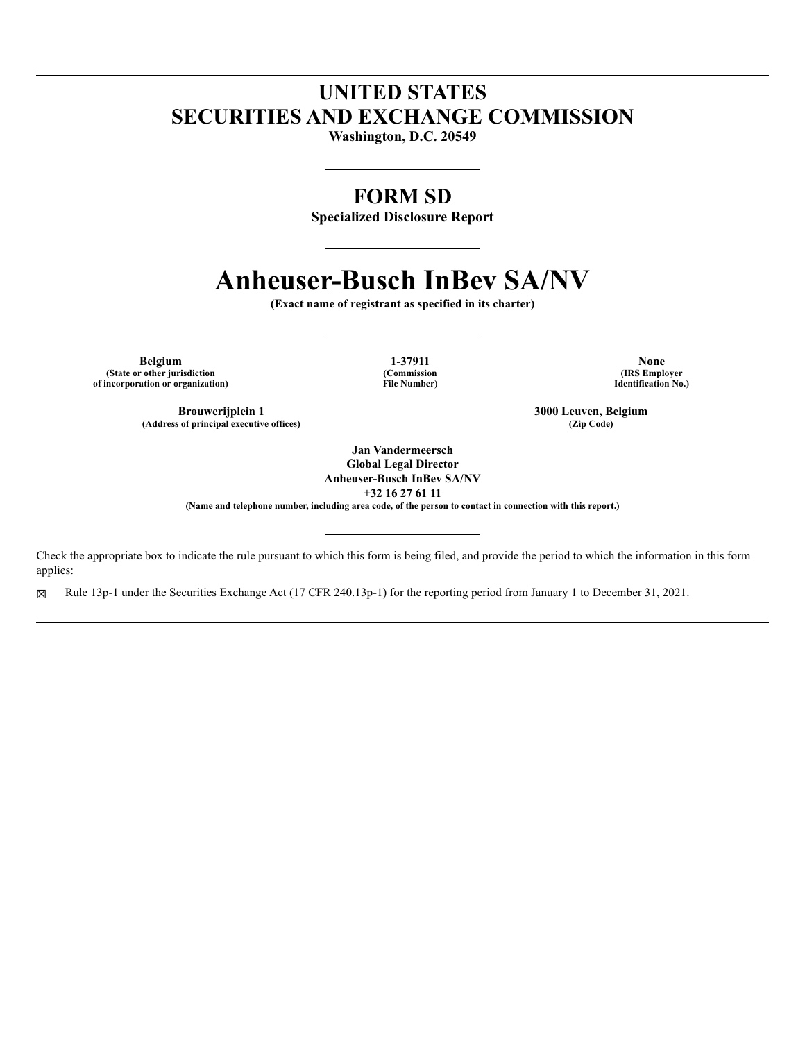## **UNITED STATES SECURITIES AND EXCHANGE COMMISSION**

**Washington, D.C. 20549**

### **FORM SD**

**Specialized Disclosure Report**

# **Anheuser-Busch InBev SA/NV**

**(Exact name of registrant as specified in its charter)**

**Belgium 1-37911 None (State or other jurisdiction (Commission (IRS Employer of incorporation or organization) File Number) Identification No.)**

(Address of principal executive offices)

**Brouwerijplein 1 3000 Leuven, Belgium**<br> **a 5000 Leuven, Belgium**<br> **a 3000** Ceuven, Belgium<br> **a 2000** Ceuven, Belgium

**Jan Vandermeersch Global Legal Director**

**Anheuser-Busch InBev SA/NV +32 16 27 61 11**

**(Name and telephone number, including area code, of the person to contact in connection with this report.)**

Check the appropriate box to indicate the rule pursuant to which this form is being filed, and provide the period to which the information in this form applies:

☒ Rule 13p-1 under the Securities Exchange Act (17 CFR 240.13p-1) for the reporting period from January 1 to December 31, 2021.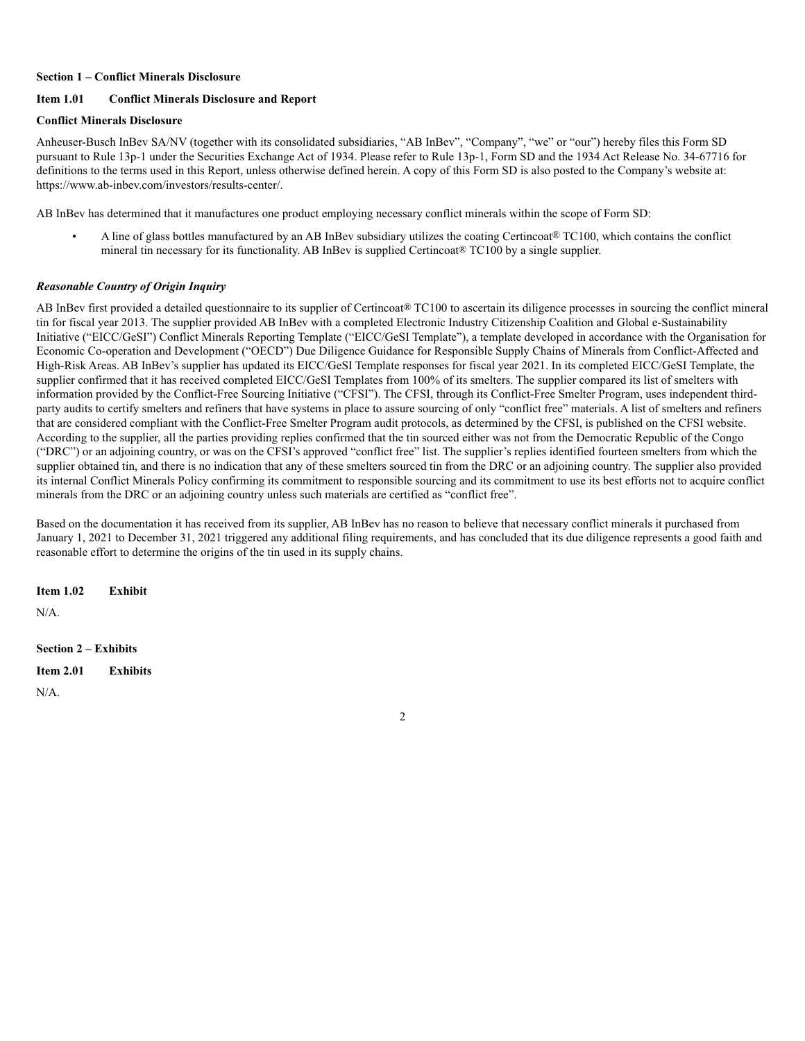#### **Section 1 – Conflict Minerals Disclosure**

#### **Item 1.01 Conflict Minerals Disclosure and Report**

#### **Conflict Minerals Disclosure**

Anheuser-Busch InBev SA/NV (together with its consolidated subsidiaries, "AB InBev", "Company", "we" or "our") hereby files this Form SD pursuant to Rule 13p-1 under the Securities Exchange Act of 1934. Please refer to Rule 13p-1, Form SD and the 1934 Act Release No. 34-67716 for definitions to the terms used in this Report, unless otherwise defined herein. A copy of this Form SD is also posted to the Company's website at: https://www.ab-inbev.com/investors/results-center/.

AB InBev has determined that it manufactures one product employing necessary conflict minerals within the scope of Form SD:

A line of glass bottles manufactured by an AB InBev subsidiary utilizes the coating Certincoat® TC100, which contains the conflict mineral tin necessary for its functionality. AB InBev is supplied Certincoat® TC100 by a single supplier.

#### *Reasonable Country of Origin Inquiry*

AB InBev first provided a detailed questionnaire to its supplier of Certincoat® TC100 to ascertain its diligence processes in sourcing the conflict mineral tin for fiscal year 2013. The supplier provided AB InBev with a completed Electronic Industry Citizenship Coalition and Global e-Sustainability Initiative ("EICC/GeSI") Conflict Minerals Reporting Template ("EICC/GeSI Template"), a template developed in accordance with the Organisation for Economic Co-operation and Development ("OECD") Due Diligence Guidance for Responsible Supply Chains of Minerals from Conflict-Affected and High-Risk Areas. AB InBev's supplier has updated its EICC/GeSI Template responses for fiscal year 2021. In its completed EICC/GeSI Template, the supplier confirmed that it has received completed EICC/GeSI Templates from 100% of its smelters. The supplier compared its list of smelters with information provided by the Conflict-Free Sourcing Initiative ("CFSI"). The CFSI, through its Conflict-Free Smelter Program, uses independent thirdparty audits to certify smelters and refiners that have systems in place to assure sourcing of only "conflict free" materials. A list of smelters and refiners that are considered compliant with the Conflict-Free Smelter Program audit protocols, as determined by the CFSI, is published on the CFSI website. According to the supplier, all the parties providing replies confirmed that the tin sourced either was not from the Democratic Republic of the Congo ("DRC") or an adjoining country, or was on the CFSI's approved "conflict free" list. The supplier's replies identified fourteen smelters from which the supplier obtained tin, and there is no indication that any of these smelters sourced tin from the DRC or an adjoining country. The supplier also provided its internal Conflict Minerals Policy confirming its commitment to responsible sourcing and its commitment to use its best efforts not to acquire conflict minerals from the DRC or an adjoining country unless such materials are certified as "conflict free".

Based on the documentation it has received from its supplier, AB InBev has no reason to believe that necessary conflict minerals it purchased from January 1, 2021 to December 31, 2021 triggered any additional filing requirements, and has concluded that its due diligence represents a good faith and reasonable effort to determine the origins of the tin used in its supply chains.

**Item 1.02 Exhibit**

 $N/A$ 

#### **Section 2 – Exhibits**

**Item 2.01 Exhibits**

 $N/A$